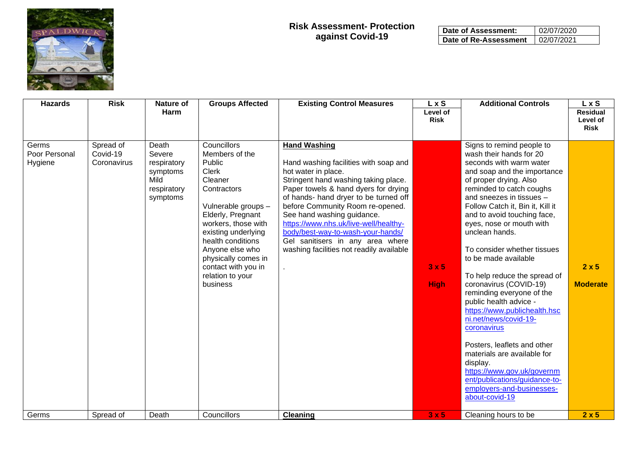

| Date of Assessment:   | 02/07/2020 |
|-----------------------|------------|
| Date of Re-Assessment | 02/07/2021 |

| <b>Hazards</b>                    | <b>Risk</b><br><b>Groups Affected</b><br><b>Existing Control Measures</b><br><b>Nature of</b><br><b>Harm</b> |                                                                               | L x S<br>Level of<br><b>Risk</b>                                                                                                                                                                                                                                                                  | <b>Additional Controls</b>                                                                                                                                                                                                                                                                                                                                                                                                                   | L x S<br><b>Residual</b><br>Level of<br><b>Risk</b> |                                                                                                                                                                                                                                                                                                                                                                                                                                                                                                                                                                                                                                                                                                                                                           |                                 |
|-----------------------------------|--------------------------------------------------------------------------------------------------------------|-------------------------------------------------------------------------------|---------------------------------------------------------------------------------------------------------------------------------------------------------------------------------------------------------------------------------------------------------------------------------------------------|----------------------------------------------------------------------------------------------------------------------------------------------------------------------------------------------------------------------------------------------------------------------------------------------------------------------------------------------------------------------------------------------------------------------------------------------|-----------------------------------------------------|-----------------------------------------------------------------------------------------------------------------------------------------------------------------------------------------------------------------------------------------------------------------------------------------------------------------------------------------------------------------------------------------------------------------------------------------------------------------------------------------------------------------------------------------------------------------------------------------------------------------------------------------------------------------------------------------------------------------------------------------------------------|---------------------------------|
| Germs<br>Poor Personal<br>Hygiene | Spread of<br>Covid-19<br>Coronavirus                                                                         | Death<br>Severe<br>respiratory<br>symptoms<br>Mild<br>respiratory<br>symptoms | Councillors<br>Members of the<br>Public<br><b>Clerk</b><br>Cleaner<br>Contractors<br>Vulnerable groups -<br>Elderly, Pregnant<br>workers, those with<br>existing underlying<br>health conditions<br>Anyone else who<br>physically comes in<br>contact with you in<br>relation to your<br>business | <b>Hand Washing</b><br>Hand washing facilities with soap and<br>hot water in place.<br>Stringent hand washing taking place.<br>Paper towels & hand dyers for drying<br>of hands- hand dryer to be turned off<br>before Community Room re-opened.<br>See hand washing guidance.<br>https://www.nhs.uk/live-well/healthy-<br>body/best-way-to-wash-your-hands/<br>Gel sanitisers in any area where<br>washing facilities not readily available | 3x5<br><b>High</b>                                  | Signs to remind people to<br>wash their hands for 20<br>seconds with warm water<br>and soap and the importance<br>of proper drying. Also<br>reminded to catch coughs<br>and sneezes in tissues -<br>Follow Catch it, Bin it, Kill it<br>and to avoid touching face,<br>eyes, nose or mouth with<br>unclean hands.<br>To consider whether tissues<br>to be made available<br>To help reduce the spread of<br>coronavirus (COVID-19)<br>reminding everyone of the<br>public health advice -<br>https://www.publichealth.hsc<br>ni.net/news/covid-19-<br>coronavirus<br>Posters, leaflets and other<br>materials are available for<br>display.<br>https://www.gov.uk/governm<br>ent/publications/guidance-to-<br>employers-and-businesses-<br>about-covid-19 | $2 \times 5$<br><b>Moderate</b> |
| Germs                             | Spread of                                                                                                    | Death                                                                         | Councillors                                                                                                                                                                                                                                                                                       | <b>Cleaning</b>                                                                                                                                                                                                                                                                                                                                                                                                                              | 3x5                                                 | Cleaning hours to be.                                                                                                                                                                                                                                                                                                                                                                                                                                                                                                                                                                                                                                                                                                                                     | 2x5                             |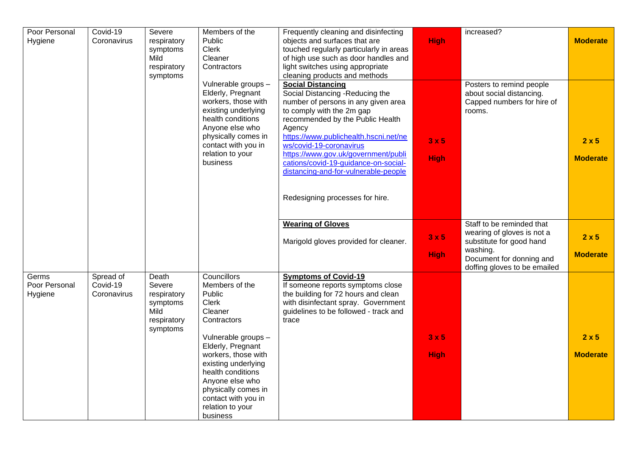| Poor Personal          | Covid-19              | Severe                | Members of the                             | Frequently cleaning and disinfecting                                     |             | increased?                   |                 |
|------------------------|-----------------------|-----------------------|--------------------------------------------|--------------------------------------------------------------------------|-------------|------------------------------|-----------------|
| Hygiene                | Coronavirus           | respiratory           | Public                                     | objects and surfaces that are                                            | <b>High</b> |                              | <b>Moderate</b> |
|                        |                       | symptoms              | <b>Clerk</b>                               | touched regularly particularly in areas                                  |             |                              |                 |
|                        |                       | Mild                  | Cleaner                                    | of high use such as door handles and                                     |             |                              |                 |
|                        |                       | respiratory           | Contractors                                | light switches using appropriate                                         |             |                              |                 |
|                        |                       | symptoms              |                                            | cleaning products and methods                                            |             |                              |                 |
|                        |                       |                       | Vulnerable groups -                        | <b>Social Distancing</b>                                                 |             | Posters to remind people     |                 |
|                        |                       |                       | Elderly, Pregnant                          | Social Distancing - Reducing the                                         |             | about social distancing.     |                 |
|                        |                       |                       | workers, those with                        | number of persons in any given area                                      |             | Capped numbers for hire of   |                 |
|                        |                       |                       | existing underlying                        | to comply with the 2m gap                                                |             | rooms.                       |                 |
|                        |                       |                       | health conditions                          | recommended by the Public Health                                         |             |                              |                 |
|                        |                       |                       | Anyone else who                            | Agency                                                                   |             |                              |                 |
|                        |                       |                       | physically comes in<br>contact with you in | https://www.publichealth.hscni.net/ne<br>ws/covid-19-coronavirus         | 3x5         |                              | $2 \times 5$    |
|                        |                       |                       | relation to your                           | https://www.gov.uk/government/publi                                      |             |                              |                 |
|                        |                       |                       | business                                   | cations/covid-19-guidance-on-social-                                     | <b>High</b> |                              | <b>Moderate</b> |
|                        |                       |                       |                                            | distancing-and-for-vulnerable-people                                     |             |                              |                 |
|                        |                       |                       |                                            |                                                                          |             |                              |                 |
|                        |                       |                       |                                            |                                                                          |             |                              |                 |
|                        |                       |                       |                                            | Redesigning processes for hire.                                          |             |                              |                 |
|                        |                       |                       |                                            |                                                                          |             |                              |                 |
|                        |                       |                       |                                            |                                                                          |             |                              |                 |
|                        |                       |                       |                                            | <b>Wearing of Gloves</b>                                                 |             | Staff to be reminded that    |                 |
|                        |                       |                       |                                            |                                                                          | 3x5         | wearing of gloves is not a   | $2 \times 5$    |
|                        |                       |                       |                                            | Marigold gloves provided for cleaner.                                    |             | substitute for good hand     |                 |
|                        |                       |                       |                                            |                                                                          | <b>High</b> | washing.                     | <b>Moderate</b> |
|                        |                       |                       |                                            |                                                                          |             | Document for donning and     |                 |
|                        |                       |                       |                                            |                                                                          |             | doffing gloves to be emailed |                 |
| Germs<br>Poor Personal | Spread of<br>Covid-19 | Death                 | Councillors<br>Members of the              | <b>Symptoms of Covid-19</b>                                              |             |                              |                 |
| Hygiene                | Coronavirus           | Severe<br>respiratory | Public                                     | If someone reports symptoms close<br>the building for 72 hours and clean |             |                              |                 |
|                        |                       | symptoms              | <b>Clerk</b>                               | with disinfectant spray. Government                                      |             |                              |                 |
|                        |                       | Mild                  | Cleaner                                    | guidelines to be followed - track and                                    |             |                              |                 |
|                        |                       | respiratory           | Contractors                                | trace                                                                    |             |                              |                 |
|                        |                       | symptoms              |                                            |                                                                          |             |                              |                 |
|                        |                       |                       | Vulnerable groups -                        |                                                                          | 3x5         |                              | $2 \times 5$    |
|                        |                       |                       | Elderly, Pregnant                          |                                                                          |             |                              |                 |
|                        |                       |                       | workers, those with                        |                                                                          | <b>High</b> |                              | <b>Moderate</b> |
|                        |                       |                       | existing underlying                        |                                                                          |             |                              |                 |
|                        |                       |                       | health conditions                          |                                                                          |             |                              |                 |
|                        |                       |                       | Anyone else who                            |                                                                          |             |                              |                 |
|                        |                       |                       | physically comes in                        |                                                                          |             |                              |                 |
|                        |                       |                       | contact with you in                        |                                                                          |             |                              |                 |
|                        |                       |                       | relation to your                           |                                                                          |             |                              |                 |
|                        |                       |                       | business                                   |                                                                          |             |                              |                 |